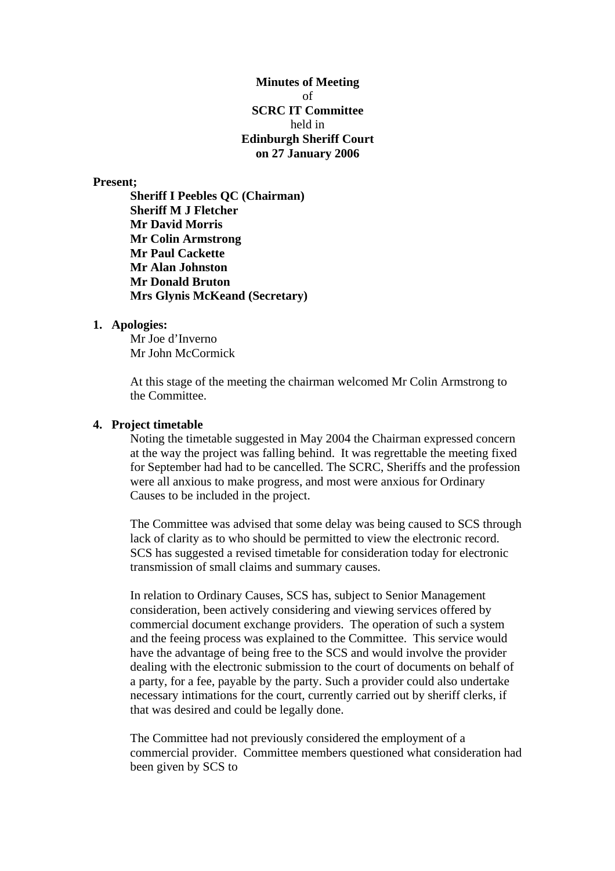**Minutes of Meeting**  of **SCRC IT Committee**  held in **Edinburgh Sheriff Court on 27 January 2006** 

### **Present;**

**Sheriff I Peebles QC (Chairman) Sheriff M J Fletcher Mr David Morris Mr Colin Armstrong Mr Paul Cackette Mr Alan Johnston Mr Donald Bruton Mrs Glynis McKeand (Secretary)** 

## **1. Apologies:**

Mr Joe d'Inverno Mr John McCormick

At this stage of the meeting the chairman welcomed Mr Colin Armstrong to the Committee.

# **4. Project timetable**

Noting the timetable suggested in May 2004 the Chairman expressed concern at the way the project was falling behind. It was regrettable the meeting fixed for September had had to be cancelled. The SCRC, Sheriffs and the profession were all anxious to make progress, and most were anxious for Ordinary Causes to be included in the project.

The Committee was advised that some delay was being caused to SCS through lack of clarity as to who should be permitted to view the electronic record. SCS has suggested a revised timetable for consideration today for electronic transmission of small claims and summary causes.

In relation to Ordinary Causes, SCS has, subject to Senior Management consideration, been actively considering and viewing services offered by commercial document exchange providers. The operation of such a system and the feeing process was explained to the Committee. This service would have the advantage of being free to the SCS and would involve the provider dealing with the electronic submission to the court of documents on behalf of a party, for a fee, payable by the party. Such a provider could also undertake necessary intimations for the court, currently carried out by sheriff clerks, if that was desired and could be legally done.

The Committee had not previously considered the employment of a commercial provider. Committee members questioned what consideration had been given by SCS to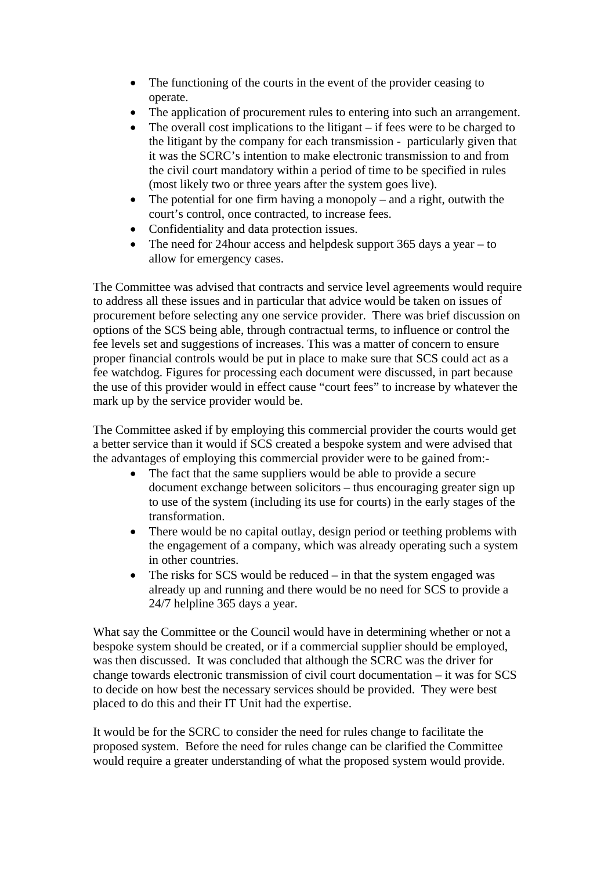- The functioning of the courts in the event of the provider ceasing to operate.
- The application of procurement rules to entering into such an arrangement.
- The overall cost implications to the litigant if fees were to be charged to the litigant by the company for each transmission - particularly given that it was the SCRC's intention to make electronic transmission to and from the civil court mandatory within a period of time to be specified in rules (most likely two or three years after the system goes live).
- The potential for one firm having a monopoly and a right, outwith the court's control, once contracted, to increase fees.
- Confidentiality and data protection issues.
- The need for 24 hour access and helpdesk support 365 days a year to allow for emergency cases.

The Committee was advised that contracts and service level agreements would require to address all these issues and in particular that advice would be taken on issues of procurement before selecting any one service provider. There was brief discussion on options of the SCS being able, through contractual terms, to influence or control the fee levels set and suggestions of increases. This was a matter of concern to ensure proper financial controls would be put in place to make sure that SCS could act as a fee watchdog. Figures for processing each document were discussed, in part because the use of this provider would in effect cause "court fees" to increase by whatever the mark up by the service provider would be.

The Committee asked if by employing this commercial provider the courts would get a better service than it would if SCS created a bespoke system and were advised that the advantages of employing this commercial provider were to be gained from:-

- The fact that the same suppliers would be able to provide a secure document exchange between solicitors – thus encouraging greater sign up to use of the system (including its use for courts) in the early stages of the transformation.
- There would be no capital outlay, design period or teething problems with the engagement of a company, which was already operating such a system in other countries.
- The risks for  $SCS$  would be reduced in that the system engaged was already up and running and there would be no need for SCS to provide a 24/7 helpline 365 days a year.

What say the Committee or the Council would have in determining whether or not a bespoke system should be created, or if a commercial supplier should be employed, was then discussed. It was concluded that although the SCRC was the driver for change towards electronic transmission of civil court documentation – it was for SCS to decide on how best the necessary services should be provided. They were best placed to do this and their IT Unit had the expertise.

It would be for the SCRC to consider the need for rules change to facilitate the proposed system. Before the need for rules change can be clarified the Committee would require a greater understanding of what the proposed system would provide.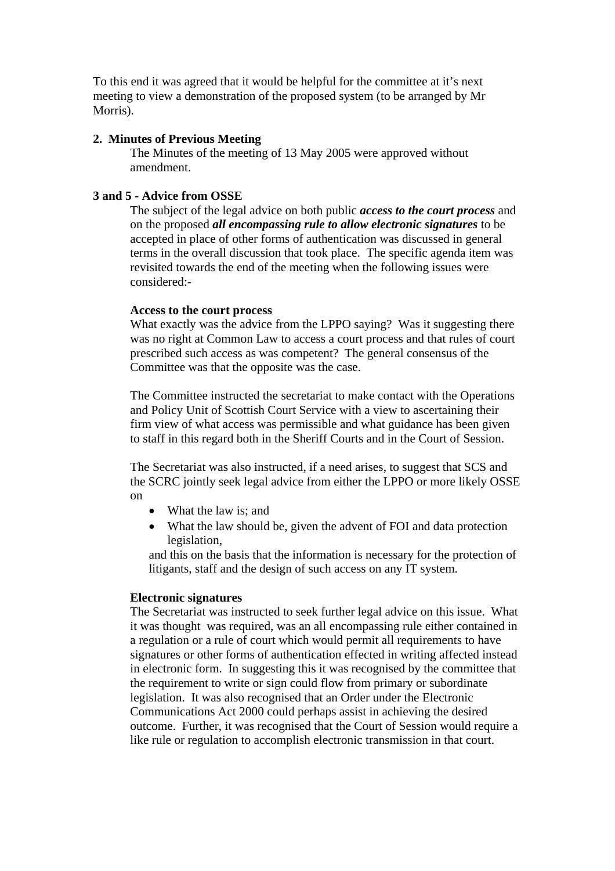To this end it was agreed that it would be helpful for the committee at it's next meeting to view a demonstration of the proposed system (to be arranged by Mr Morris).

## **2. Minutes of Previous Meeting**

The Minutes of the meeting of 13 May 2005 were approved without amendment.

## **3 and 5 - Advice from OSSE**

The subject of the legal advice on both public *access to the court process* and on the proposed *all encompassing rule to allow electronic signatures* to be accepted in place of other forms of authentication was discussed in general terms in the overall discussion that took place. The specific agenda item was revisited towards the end of the meeting when the following issues were considered:-

## **Access to the court process**

What exactly was the advice from the LPPO saying? Was it suggesting there was no right at Common Law to access a court process and that rules of court prescribed such access as was competent? The general consensus of the Committee was that the opposite was the case.

The Committee instructed the secretariat to make contact with the Operations and Policy Unit of Scottish Court Service with a view to ascertaining their firm view of what access was permissible and what guidance has been given to staff in this regard both in the Sheriff Courts and in the Court of Session.

The Secretariat was also instructed, if a need arises, to suggest that SCS and the SCRC jointly seek legal advice from either the LPPO or more likely OSSE on

- What the law is: and
- What the law should be, given the advent of FOI and data protection legislation,

and this on the basis that the information is necessary for the protection of litigants, staff and the design of such access on any IT system.

## **Electronic signatures**

The Secretariat was instructed to seek further legal advice on this issue. What it was thought was required, was an all encompassing rule either contained in a regulation or a rule of court which would permit all requirements to have signatures or other forms of authentication effected in writing affected instead in electronic form. In suggesting this it was recognised by the committee that the requirement to write or sign could flow from primary or subordinate legislation. It was also recognised that an Order under the Electronic Communications Act 2000 could perhaps assist in achieving the desired outcome. Further, it was recognised that the Court of Session would require a like rule or regulation to accomplish electronic transmission in that court.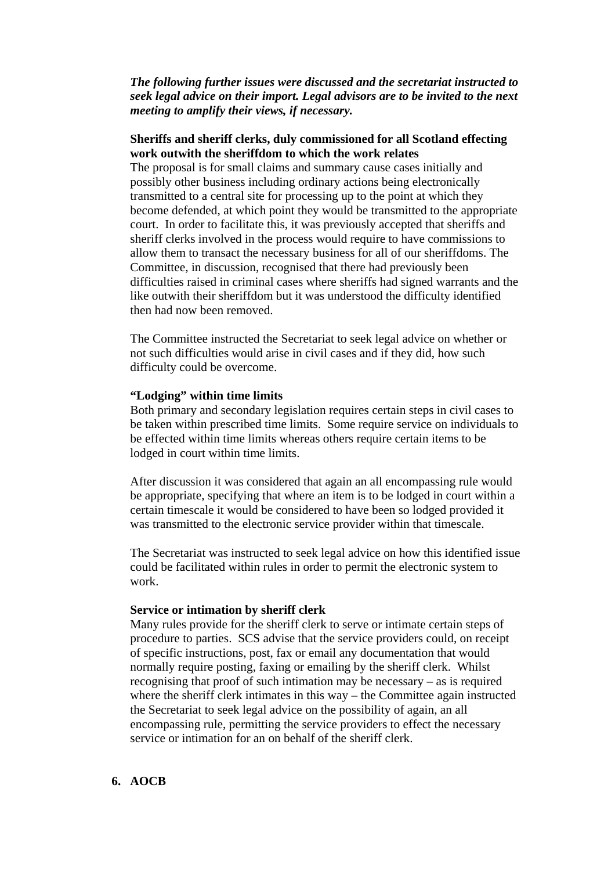# *The following further issues were discussed and the secretariat instructed to seek legal advice on their import. Legal advisors are to be invited to the next meeting to amplify their views, if necessary.*

# **Sheriffs and sheriff clerks, duly commissioned for all Scotland effecting work outwith the sheriffdom to which the work relates**

The proposal is for small claims and summary cause cases initially and possibly other business including ordinary actions being electronically transmitted to a central site for processing up to the point at which they become defended, at which point they would be transmitted to the appropriate court. In order to facilitate this, it was previously accepted that sheriffs and sheriff clerks involved in the process would require to have commissions to allow them to transact the necessary business for all of our sheriffdoms. The Committee, in discussion, recognised that there had previously been difficulties raised in criminal cases where sheriffs had signed warrants and the like outwith their sheriffdom but it was understood the difficulty identified then had now been removed.

The Committee instructed the Secretariat to seek legal advice on whether or not such difficulties would arise in civil cases and if they did, how such difficulty could be overcome.

# **"Lodging" within time limits**

Both primary and secondary legislation requires certain steps in civil cases to be taken within prescribed time limits. Some require service on individuals to be effected within time limits whereas others require certain items to be lodged in court within time limits.

After discussion it was considered that again an all encompassing rule would be appropriate, specifying that where an item is to be lodged in court within a certain timescale it would be considered to have been so lodged provided it was transmitted to the electronic service provider within that timescale.

The Secretariat was instructed to seek legal advice on how this identified issue could be facilitated within rules in order to permit the electronic system to work.

### **Service or intimation by sheriff clerk**

Many rules provide for the sheriff clerk to serve or intimate certain steps of procedure to parties. SCS advise that the service providers could, on receipt of specific instructions, post, fax or email any documentation that would normally require posting, faxing or emailing by the sheriff clerk. Whilst recognising that proof of such intimation may be necessary – as is required where the sheriff clerk intimates in this way – the Committee again instructed the Secretariat to seek legal advice on the possibility of again, an all encompassing rule, permitting the service providers to effect the necessary service or intimation for an on behalf of the sheriff clerk.

# **6. AOCB**